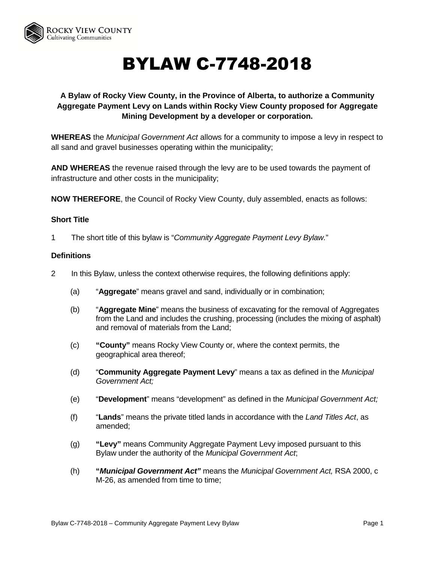

# BYLAW C-7748-2018

# **A Bylaw of Rocky View County, in the Province of Alberta, to authorize a Community Aggregate Payment Levy on Lands within Rocky View County proposed for Aggregate Mining Development by a developer or corporation.**

**WHEREAS** the *Municipal Government Act* allows for a community to impose a levy in respect to all sand and gravel businesses operating within the municipality;

**AND WHEREAS** the revenue raised through the levy are to be used towards the payment of infrastructure and other costs in the municipality;

**NOW THEREFORE**, the Council of Rocky View County, duly assembled, enacts as follows:

#### **Short Title**

1 The short title of this bylaw is "*Community Aggregate Payment Levy Bylaw.*"

#### **Definitions**

- 2 In this Bylaw, unless the context otherwise requires, the following definitions apply:
	- (a) "**Aggregate**" means gravel and sand, individually or in combination;
	- (b) "**Aggregate Mine**" means the business of excavating for the removal of Aggregates from the Land and includes the crushing, processing (includes the mixing of asphalt) and removal of materials from the Land;
	- (c) **"County"** means Rocky View County or, where the context permits, the geographical area thereof;
	- (d) "**Community Aggregate Payment Levy**" means a tax as defined in the *Municipal Government Act;*
	- (e) "**Development**" means "development" as defined in the *Municipal Government Act;*
	- (f) "**Lands**" means the private titled lands in accordance with the *Land Titles Act*, as amended;
	- (g) **"Levy"** means Community Aggregate Payment Levy imposed pursuant to this Bylaw under the authority of the *Municipal Government Act*;
	- (h) **"***Municipal Government Act"* means the *Municipal Government Act,* RSA 2000, c M-26, as amended from time to time;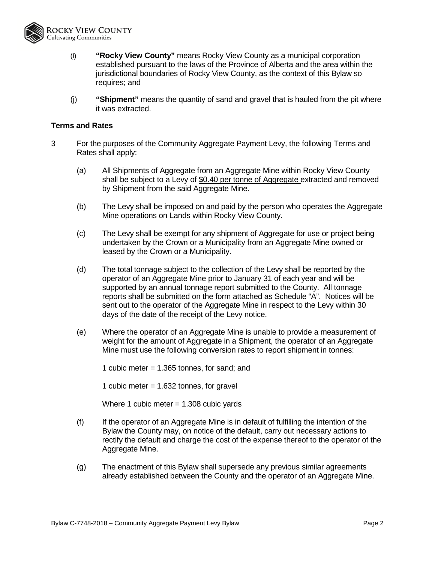

- (i) **"Rocky View County"** means Rocky View County as a municipal corporation established pursuant to the laws of the Province of Alberta and the area within the jurisdictional boundaries of Rocky View County, as the context of this Bylaw so requires; and
- (j) **"Shipment"** means the quantity of sand and gravel that is hauled from the pit where it was extracted.

#### **Terms and Rates**

- 3 For the purposes of the Community Aggregate Payment Levy, the following Terms and Rates shall apply:
	- (a) All Shipments of Aggregate from an Aggregate Mine within Rocky View County shall be subject to a Levy of \$0.40 per tonne of Aggregate extracted and removed by Shipment from the said Aggregate Mine.
	- (b) The Levy shall be imposed on and paid by the person who operates the Aggregate Mine operations on Lands within Rocky View County.
	- (c) The Levy shall be exempt for any shipment of Aggregate for use or project being undertaken by the Crown or a Municipality from an Aggregate Mine owned or leased by the Crown or a Municipality.
	- (d) The total tonnage subject to the collection of the Levy shall be reported by the operator of an Aggregate Mine prior to January 31 of each year and will be supported by an annual tonnage report submitted to the County. All tonnage reports shall be submitted on the form attached as Schedule "A". Notices will be sent out to the operator of the Aggregate Mine in respect to the Levy within 30 days of the date of the receipt of the Levy notice.
	- (e) Where the operator of an Aggregate Mine is unable to provide a measurement of weight for the amount of Aggregate in a Shipment, the operator of an Aggregate Mine must use the following conversion rates to report shipment in tonnes:

1 cubic meter = 1.365 tonnes, for sand; and

1 cubic meter = 1.632 tonnes, for gravel

Where 1 cubic meter = 1.308 cubic yards

- (f) If the operator of an Aggregate Mine is in default of fulfilling the intention of the Bylaw the County may, on notice of the default, carry out necessary actions to rectify the default and charge the cost of the expense thereof to the operator of the Aggregate Mine.
- (g) The enactment of this Bylaw shall supersede any previous similar agreements already established between the County and the operator of an Aggregate Mine.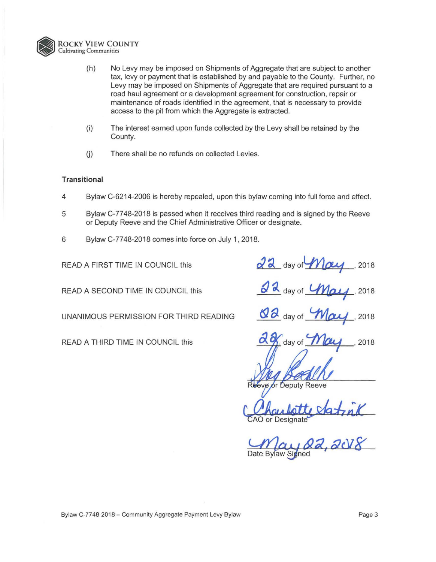

- {h) No Levy may be imposed on Shipments of Aggregate that are subject to another tax, levy or payment that is established by and payable to the County. Further, no Levy may be imposed on Shipments of Aggregate that are required pursuant to a road haul agreement or a development agreement for construction, repair or maintenance of roads identified in the agreement, that is necessary to provide access to the pit from which the Aggregate is extracted.
- {i) The interest earned upon funds collected by the Levy shall be retained by the County.
- (i) There shall be no refunds on collected Levies.

#### **Transitional**

- 4 Bylaw C-6214-2006 is hereby repealed, upon this bylaw coming into full force and effect.
- 5 Bylaw C-77 48-2018 is passed when it receives third reading and is signed by the Reeve or Deputy Reeve and the Chief Administrative Officer or designate.
- 6 Bylaw C-77 48-2018 comes into force on July 1, 2018.

READ A FIRST TIME IN COUNCIL this

READ A SECOND TIME IN COUNCIL this

UNANIMOUS PERMISSION FOR THIRD READING

READ A THIRD TIME IN COUNCIL this

 $\frac{22}{9}$  day of  $\frac{1}{2}$   $\frac{2018}{9}$ ' 2018

 $d$   $d$  day of *May* ' 2018

 $\frac{d}{d}$  day of *May* ' 2018

**a**  day of 2018

or Deputy Reeve  $\sqrt{\rho}$ 

AO or Designate VAT7 MA

Date Bylaw Signed <u>22,2018</u>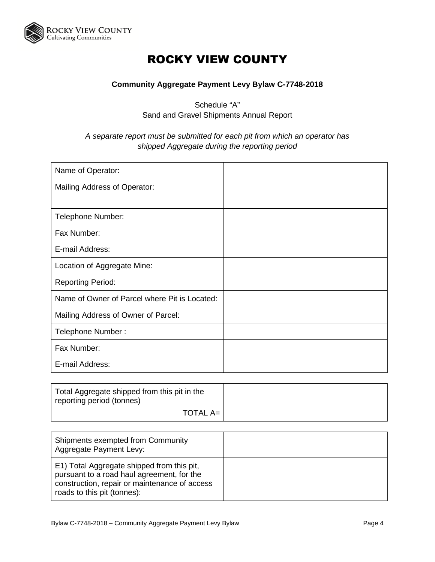

# ROCKY VIEW COUNTY

## **Community Aggregate Payment Levy Bylaw C-7748-2018**

Schedule "A" Sand and Gravel Shipments Annual Report

### *A separate report must be submitted for each pit from which an operator has shipped Aggregate during the reporting period*

| Name of Operator:                             |  |
|-----------------------------------------------|--|
| Mailing Address of Operator:                  |  |
|                                               |  |
| Telephone Number:                             |  |
| Fax Number:                                   |  |
| E-mail Address:                               |  |
| Location of Aggregate Mine:                   |  |
| <b>Reporting Period:</b>                      |  |
| Name of Owner of Parcel where Pit is Located: |  |
| Mailing Address of Owner of Parcel:           |  |
| Telephone Number:                             |  |
| Fax Number:                                   |  |
| E-mail Address:                               |  |

| Total Aggregate shipped from this pit in the<br>reporting period (tonnes) |  |
|---------------------------------------------------------------------------|--|
| <b>TOTAL A=</b>                                                           |  |

| Shipments exempted from Community<br>Aggregate Payment Levy:                                                                                                             |  |
|--------------------------------------------------------------------------------------------------------------------------------------------------------------------------|--|
| E1) Total Aggregate shipped from this pit,<br>pursuant to a road haul agreement, for the<br>construction, repair or maintenance of access<br>roads to this pit (tonnes): |  |